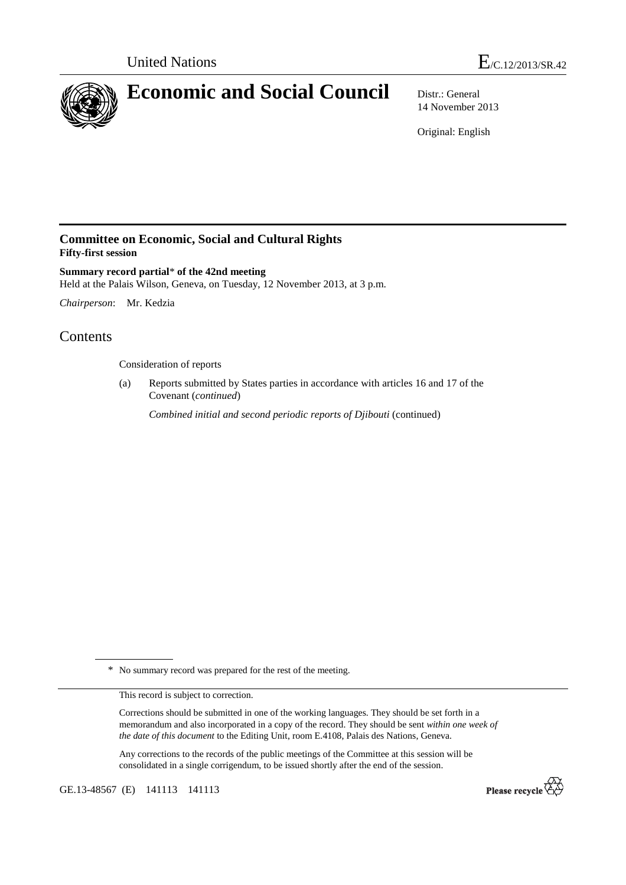

14 November 2013

Original: English

## **Committee on Economic, Social and Cultural Rights Fifty-first session**

**Summary record partial**\* **of the 42nd meeting**  Held at the Palais Wilson, Geneva, on Tuesday, 12 November 2013, at 3 p.m.

*Chairperson*: Mr. Kedzia

## Contents

Consideration of reports

(a) Reports submitted by States parties in accordance with articles 16 and 17 of the Covenant (*continued*)

*Combined initial and second periodic reports of Djibouti* (continued)

\* No summary record was prepared for the rest of the meeting.

This record is subject to correction.

Corrections should be submitted in one of the working languages. They should be set forth in a memorandum and also incorporated in a copy of the record. They should be sent *within one week of the date of this document* to the Editing Unit, room E.4108, Palais des Nations, Geneva.

Any corrections to the records of the public meetings of the Committee at this session will be consolidated in a single corrigendum, to be issued shortly after the end of the session.

GE.13-48567 (E) 141113 141113

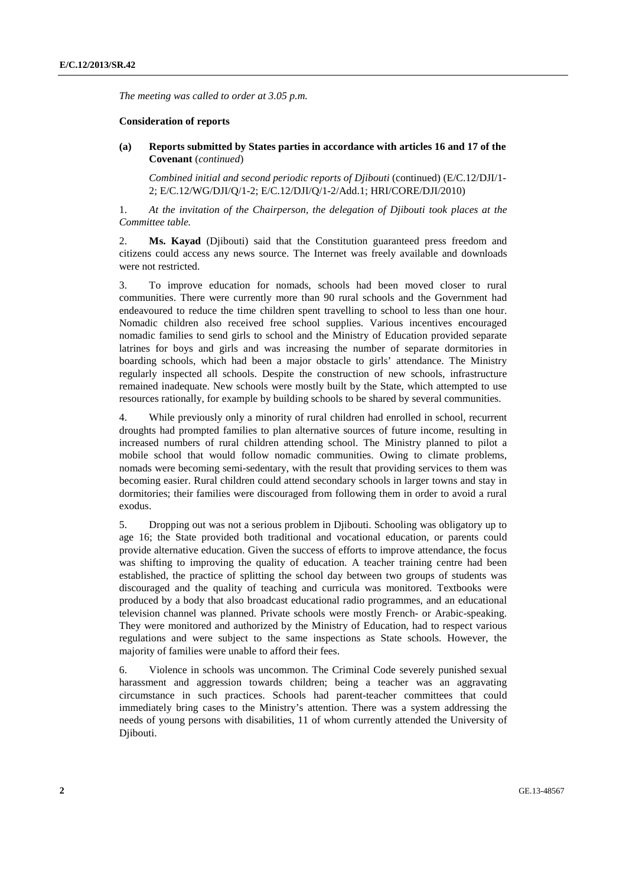*The meeting was called to order at 3.05 p.m.* 

## **Consideration of reports**

 **(a) Reports submitted by States parties in accordance with articles 16 and 17 of the Covenant** (*continued*)

*Combined initial and second periodic reports of Djibouti* (continued) (E/C.12/DJI/1- 2; E/C.12/WG/DJI/Q/1-2; E/C.12/DJI/Q/1-2/Add.1; HRI/CORE/DJI/2010)

1. *At the invitation of the Chairperson, the delegation of Djibouti took places at the Committee table.* 

2. **Ms. Kayad** (Djibouti) said that the Constitution guaranteed press freedom and citizens could access any news source. The Internet was freely available and downloads were not restricted.

3. To improve education for nomads, schools had been moved closer to rural communities. There were currently more than 90 rural schools and the Government had endeavoured to reduce the time children spent travelling to school to less than one hour. Nomadic children also received free school supplies. Various incentives encouraged nomadic families to send girls to school and the Ministry of Education provided separate latrines for boys and girls and was increasing the number of separate dormitories in boarding schools, which had been a major obstacle to girls' attendance. The Ministry regularly inspected all schools. Despite the construction of new schools, infrastructure remained inadequate. New schools were mostly built by the State, which attempted to use resources rationally, for example by building schools to be shared by several communities.

4. While previously only a minority of rural children had enrolled in school, recurrent droughts had prompted families to plan alternative sources of future income, resulting in increased numbers of rural children attending school. The Ministry planned to pilot a mobile school that would follow nomadic communities. Owing to climate problems, nomads were becoming semi-sedentary, with the result that providing services to them was becoming easier. Rural children could attend secondary schools in larger towns and stay in dormitories; their families were discouraged from following them in order to avoid a rural exodus.

5. Dropping out was not a serious problem in Djibouti. Schooling was obligatory up to age 16; the State provided both traditional and vocational education, or parents could provide alternative education. Given the success of efforts to improve attendance, the focus was shifting to improving the quality of education. A teacher training centre had been established, the practice of splitting the school day between two groups of students was discouraged and the quality of teaching and curricula was monitored. Textbooks were produced by a body that also broadcast educational radio programmes, and an educational television channel was planned. Private schools were mostly French- or Arabic-speaking. They were monitored and authorized by the Ministry of Education, had to respect various regulations and were subject to the same inspections as State schools. However, the majority of families were unable to afford their fees.

6. Violence in schools was uncommon. The Criminal Code severely punished sexual harassment and aggression towards children; being a teacher was an aggravating circumstance in such practices. Schools had parent-teacher committees that could immediately bring cases to the Ministry's attention. There was a system addressing the needs of young persons with disabilities, 11 of whom currently attended the University of Djibouti.